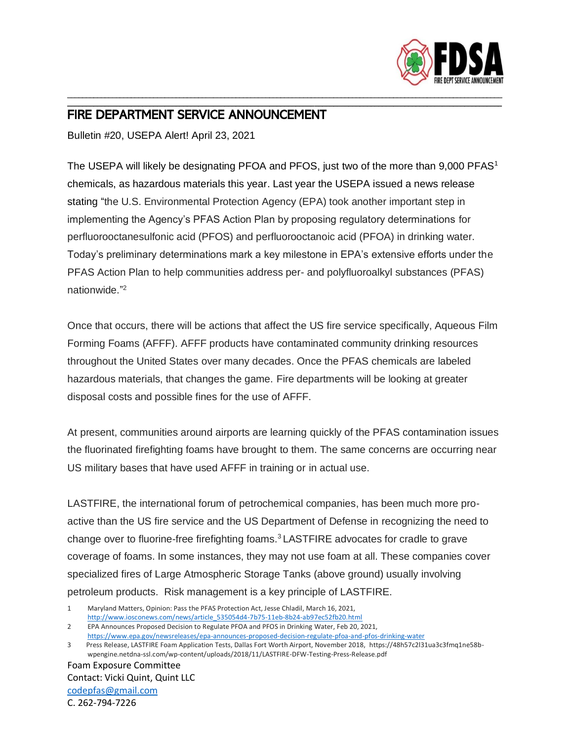

## \_\_\_\_\_\_\_\_\_\_\_\_\_\_\_\_\_\_\_\_\_\_\_\_\_\_\_\_\_\_\_\_\_\_\_\_\_\_\_\_\_\_\_\_\_\_\_\_\_\_\_\_\_\_\_\_\_\_\_\_\_\_\_\_\_\_\_\_\_\_\_\_\_\_\_\_\_\_\_\_\_\_\_\_\_\_\_\_\_\_\_\_\_\_\_\_\_\_\_\_\_\_\_\_\_\_\_\_\_\_\_\_\_\_\_\_ FIRE DEPARTMENT SERVICE ANNOUNCEMENT

Bulletin #20, USEPA Alert! April 23, 2021

The USEPA will likely be designating PFOA and PFOS, just two of the more than 9,000 PFAS<sup>1</sup> chemicals, as hazardous materials this year. Last year the USEPA issued a news release stating "the U.S. Environmental Protection Agency (EPA) took another important step in implementing the Agency's PFAS Action Plan by proposing regulatory determinations for perfluorooctanesulfonic acid (PFOS) and perfluorooctanoic acid (PFOA) in drinking water. Today's preliminary determinations mark a key milestone in EPA's extensive efforts under the PFAS Action Plan to help communities address per- and polyfluoroalkyl substances (PFAS) nationwide." 2

\_\_\_\_\_\_\_\_\_\_\_\_\_\_\_\_\_\_\_\_\_\_\_\_\_\_\_\_\_\_\_\_\_\_\_\_\_\_\_\_\_\_\_\_\_\_\_\_\_\_\_\_\_\_\_\_\_\_\_\_\_\_\_\_\_\_\_\_\_\_\_\_\_\_\_\_\_\_\_\_\_\_\_\_\_\_\_\_\_\_\_\_\_\_\_\_\_\_\_\_\_\_\_\_\_\_\_\_\_\_\_\_\_\_\_\_

Once that occurs, there will be actions that affect the US fire service specifically, Aqueous Film Forming Foams (AFFF). AFFF products have contaminated community drinking resources throughout the United States over many decades. Once the PFAS chemicals are labeled hazardous materials, that changes the game. Fire departments will be looking at greater disposal costs and possible fines for the use of AFFF.

At present, communities around airports are learning quickly of the PFAS contamination issues the fluorinated firefighting foams have brought to them. The same concerns are occurring near US military bases that have used AFFF in training or in actual use.

LASTFIRE, the international forum of petrochemical companies, has been much more proactive than the US fire service and the US Department of Defense in recognizing the need to change over to fluorine-free firefighting foams.<sup>3</sup> LASTFIRE advocates for cradle to grave coverage of foams. In some instances, they may not use foam at all. These companies cover specialized fires of Large Atmospheric Storage Tanks (above ground) usually involving petroleum products. Risk management is a key principle of LASTFIRE.

Foam Exposure Committee Contact: Vicki Quint, Quint LLC [codepfas@gmail.com](mailto:codepfas@gmail.com) C. 262-794-7226

<sup>1</sup> Maryland Matters, Opinion: Pass the PFAS Protection Act, Jesse Chladil, March 16, 2021,

[http://www.iosconews.com/news/article\\_535054d4-7b75-11eb-8b24-ab97ec52fb20.html](http://www.iosconews.com/news/article_535054d4-7b75-11eb-8b24-ab97ec52fb20.html)

<sup>2</sup> EPA Announces Proposed Decision to Regulate PFOA and PFOS in Drinking Water, Feb 20, 2021, <https://www.epa.gov/newsreleases/epa-announces-proposed-decision-regulate-pfoa-and-pfos-drinking-water>

<sup>3</sup> Press Release, LASTFIRE Foam Application Tests, Dallas Fort Worth Airport, November 2018, https://48h57c2l31ua3c3fmq1ne58bwpengine.netdna-ssl.com/wp-content/uploads/2018/11/LASTFIRE-DFW-Testing-Press-Release.pdf